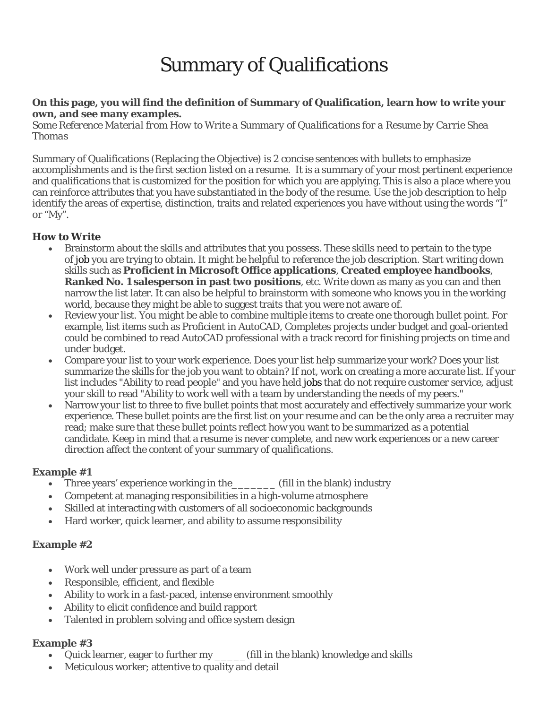# Summary of Qualifications

#### **On this page, you will find the definition of Summary of Qualification, learn how to write your own, and see many examples.**

*Some Reference Material from How to Write a Summary of Qualifications for a Resume by Carrie Shea Thomas*

Summary of Qualifications (Replacing the Objective) is 2 concise sentences with bullets to emphasize accomplishments and is the first section listed on a resume. It is a summary of your most pertinent experience and qualifications that is customized for the position for which you are applying. This is also a place where you can reinforce attributes that you have substantiated in the body of the resume. Use the job description to help identify the areas of expertise, distinction, traits and related experiences you have without using the words "I" or "My".

## **How to Write**

- Brainstorm about the skills and attributes that you possess. These skills need to pertain to the type of job you are trying to obtain. It might be helpful to reference the job description. Start writing down skills such as **Proficient in Microsoft Office applications**, **Created employee handbooks**, **Ranked No. 1 salesperson in past two positions**, etc. Write down as many as you can and then narrow the list later. It can also be helpful to brainstorm with someone who knows you in the working world, because they might be able to suggest traits that you were not aware of.
- Review your list. You might be able to combine multiple items to create one thorough bullet point. For example, list items such as Proficient in AutoCAD, Completes projects under budget and goal-oriented could be combined to read AutoCAD professional with a track record for finishing projects on time and under budget.
- Compare your list to your work experience. Does your list help summarize your work? Does your list summarize the skills for the job you want to obtain? If not, work on creating a more accurate list. If your list includes "Ability to read people" and you have held jobs that do not require customer service, adjust your skill to read "Ability to work well with a team by understanding the needs of my peers."
- Narrow your list to three to five bullet points that most accurately and effectively summarize your work experience. These bullet points are the first list on your resume and can be the only area a recruiter may read; make sure that these bullet points reflect how you want to be summarized as a potential candidate. Keep in mind that a resume is never complete, and new work experiences or a new career direction affect the content of your summary of qualifications.

## **Example #1**

- Three years' experience working in the Till in the blank) industry
- Competent at managing responsibilities in a high-volume atmosphere
- Skilled at interacting with customers of all socioeconomic backgrounds
- Hard worker, quick learner, and ability to assume responsibility

## **Example #2**

- Work well under pressure as part of a team
- Responsible, efficient, and flexible
- Ability to work in a fast-paced, intense environment smoothly
- Ability to elicit confidence and build rapport
- Talented in problem solving and office system design

## **Example #3**

- Quick learner, eager to further my \_\_\_\_\_(fill in the blank) knowledge and skills
- Meticulous worker; attentive to quality and detail